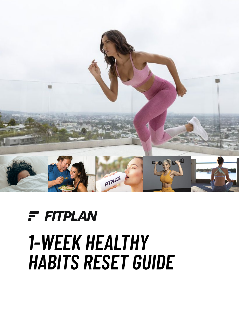

## $F$  FITPLAN *1-WEEK HEALTHY HABITS RESET GUIDE*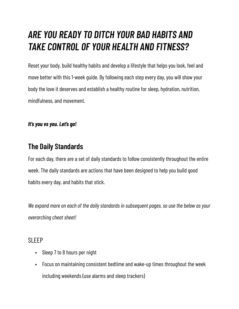### *ARE YOU READY TO DITCH YOUR BAD HABITS AND TAKE CONTROL OF YOUR HEALTH AND FITNESS?*

Reset your body, build healthy habits and develop a lifestyle that helps you look, feel and move better with this 1-week guide. By following each step every day, you will show your body the love it deserves and establish a healthy routine for sleep, hydration, nutrition, mindfulness, and movement.

#### *It's you vs you. Let's go!*

#### **The Daily Standards**

For each day, there are a set of daily standards to follow consistently throughout the entire week. The daily standards are actions that have been designed to help you build good habits every day, and habits that stick.

*We expand more on each of the daily standards in subsequent pages, so use the below as your overarching cheat sheet!* 

#### SI FFP

- Sleep 7 to 8 hours per night
- Focus on maintaining consistent bedtime and wake-up times throughout the week including weekends (use alarms and sleep trackers)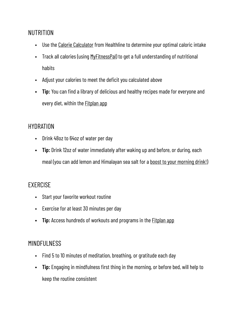#### NUTRITION

- Use the [Calorie Calculator](https://www.healthline.com/nutrition/how-many-calories-per-day) from Healthline to determine your optimal caloric intake
- Track all calories (using [MyFitnessPal\)](https://www.myfitnesspal.com/) to get a full understanding of nutritional habits
- Adjust your calories to meet the deficit you calculated above
- **• Tip:** You can find a library of delicious and healthy recipes made for everyone and every diet, within the **[Fitplan app](https://fitplan.app.link/TSjIlQP4hob)**

#### **HYDRATION**

- Drink 48oz to 64oz of water per day
- **• Tip:** Drink 12oz of water immediately after waking up and before, or during, each meal (you can add lemon and Himalayan sea salt for a [boost to your morning drink!](https://thyme-is-honey.com/2020/02/19/10-reasons-drink-warm-lemon-water-with-sea-salt/#:~:text=The%20alkalizing%20effects%20of%20lemon,of%20your%20daily%20vitamin%20c.))

#### EXERCISE

- Start your favorite workout routine
- Exercise for at least 30 minutes per day
- **Tip:** Access hundreds of workouts and programs in the **[Fitplan app](https://fitplan.app.link/TSjIlQP4hob)**

#### MINDFULNESS

- Find 5 to 10 minutes of meditation, breathing, or gratitude each day
- **• Tip:** Engaging in mindfulness first thing in the morning, or before bed, will help to keep the routine consistent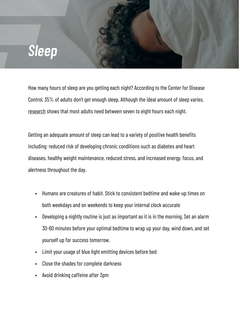## *Sleep*

How many hours of sleep are you getting each night? According to the Center for Disease Control, 35% of adults don't get enough sleep. Although the ideal amount of sleep varies, [research](https://pubmed.ncbi.nlm.nih.gov/29073412/) shows that most adults need between seven to eight hours each night.

Getting an adequate amount of sleep can lead to a variety of positive health benefits including: reduced risk of developing chronic conditions such as diabetes and heart diseases, healthy weight maintenance, reduced stress, and increased energy, focus, and alertness throughout the day.

- Humans are creatures of habit. Stick to consistent bedtime and wake-up times on both weekdays and on weekends to keep your internal clock accurate
- Developing a nightly routine is just as important as it is in the morning. Set an alarm 30-60 minutes before your optimal bedtime to wrap up your day, wind down, and set yourself up for success tomorrow.
- Limit your usage of blue light emitting devices before bed
- Close the shades for complete darkness
- Avoid drinking caffeine after 3pm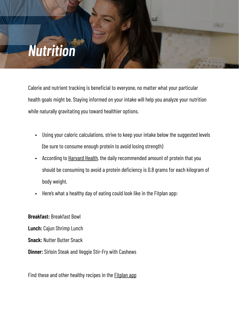## *Nutrition*

Calorie and nutrient tracking is beneficial to everyone, no matter what your particular health goals might be. Staying informed on your intake will help you analyze your nutrition while naturally gravitating you toward healthier options.

- Using your caloric calculations, strive to keep your intake below the suggested levels (be sure to consume enough protein to avoid losing strength)
- According to [Harvard Health](https://www.health.harvard.edu/blog/how-much-protein-do-you-need-every-day-201506188096), the daily recommended amount of protein that you should be consuming to avoid a protein deficiency is 0.8 grams for each kilogram of body weight.
- Here's what a healthy day of eating could look like in the Fitplan app:

**Breakfast:** Breakfast Bowl

**Lunch:** Cajun Shrimp Lunch

**Snack:** Nutter Butter Snack

**Dinner:** Sirloin Steak and Veggie Stir-Fry with Cashews

Find these and other healthy recipes in the **[Fitplan app](https://fitplan.app.link/TSjIlQP4hob)**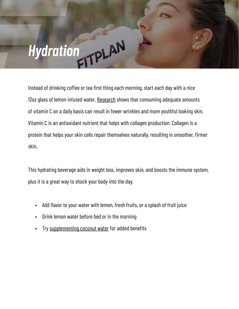# *Hydration*

Instead of drinking coffee or tea first thing each morning, start each day with a nice 12oz glass of lemon infused water. [Research](https://pubmed.ncbi.nlm.nih.gov/17921406/) shows that consuming adequate amounts of vitamin C on a daily basis can result in fewer wrinkles and more youthful looking skin. Vitamin C is an antioxidant nutrient that helps with collagen production. Collagen is a protein that helps your skin cells repair themselves naturally, resulting in smoother, firmer skin.

This hydrating beverage aids in weight loss, improves skin, and boosts the immune system, plus it is a great way to shock your body into the day.

- Add flavor to your water with lemon, fresh fruits, or a splash of fruit juice
- Drink lemon water before bed or in the morning
- Try [supplementing coconut water](https://health.clevelandclinic.org/the-health-benefits-of-coconut-water/) for added benefits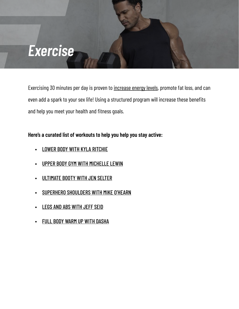## *Exercise*

Exercising 30 minutes per day is proven to [increase energy levels](https://www.mayoclinic.org/healthy-lifestyle/fitness/in-depth/exercise/art-20048389), promote fat loss, and can even add a spark to your sex life! Using a structured program will increase these benefits and help you meet your health and fitness goals.

#### **Here's a curated list of workouts to help you help you stay active:**

- **[LOWER BODY WITH KYLA RITCHIE](https://fitplan.app.link/nLWeOzanoob)**
- [UPPER BODY GYM WITH MICHELLE LEWIN](https://fitplan.app.link/A2TWLLznoob)
- [ULTIMATE BOOTY WITH JEN SELTER](https://fitplan.app.link/olj5nLFnoob)
- [SUPERHERO SHOULDERS WITH MIKE O'HEARN](https://fitplan.app.link/Z1nPUOPnoob)
- **[LEGS AND ABS WITH JEFF SEID](https://fitplan.app.link/T0cYykWnoob)**
- [FULL BODY WARM UP WITH DASHA](https://fitplan.app.link/xZipMNVmoob)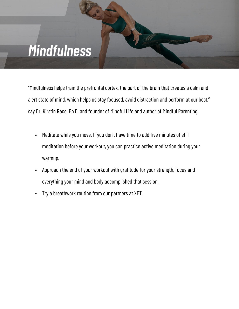## *Mindfulness*

"Mindfulness helps train the prefrontal cortex, the part of the brain that creates a calm and alert state of mind, which helps us stay focused, avoid distraction and perform at our best," [say Dr. Kirstin Race,](https://dailyburn.com/life/fitness/mindfulness-techniques-athletes/#:~:text=Race%2C%20%E2%80%9CMindfulness%20helps%20train%20the,to%20notice%20our%20thoughts%20and) Ph.D. and founder of Mindful Life and author of Mindful Parenting.

- Meditate while you move. If you don't have time to add five minutes of still meditation before your workout, you can practice active meditation during your warmup.
- Approach the end of your workout with gratitude for your strength, focus and everything your mind and body accomplished that session.
- Try a breathwork routine from our partners at [XPT.](https://www.xptlife.com/)